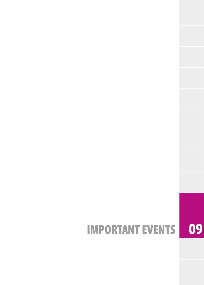# IMPORTANT EVENTS 09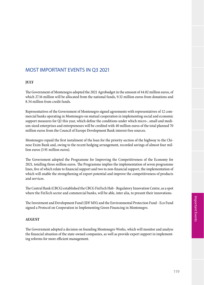## MOST IMPORTANT EVENTS IN Q3 2021

### **JULY**

The Government of Montenegro adopted the 2021 Agrobudget in the amount of 44.82 million euros, of which 27.16 million will be allocated from the national funds, 9.32 million euros from donations and 8.34 million from credit funds.

Representatives of the Government of Montenegro signed agreements with representatives of 12 commercial banks operating in Montenegro on mutual cooperation in implementing social and economic support measures for Q2 this year, which define the conditions under which micro-, small and medium-sized enterprises and entrepreneurs will be credited with 40 million euros of the total planned 70 million euros from the Council of Europe Development Bank interest-free sources.

Montenegro repaid the first instalment of the loan for the priority section of the highway to the Chinese Exim Bank and, owing to the recent hedging arrangement, recorded savings of almost four million euros (3.91 million euros).

The Government adopted the Programme for Improving the Competitiveness of the Economy for 2021, totalling three million euros. The Programme implies the implementation of seven programme lines, five of which relate to financial support and two to non-financial support, the implementation of which will enable the strengthening of export potential and improve the competitiveness of products and services.

The Central Bank (CBCG) established the CBCG FinTech Hub - Regulatory Innovation Centre, as a spot where the FinTech sector and commercial banks, will be able, inter alia, to present their innovations.

The Investment and Development Fund (IDF MN) and the Environmental Protection Fund - Eco Fund signed a Protocol on Cooperation in Implementing Green Financing in Montenegro.

#### **AUGUST**

The Government adopted a decision on founding Montenegro Works, which will monitor and analyse the financial situation of the state-owned companies, as well as provide expert support in implementing reforms for more efficient management.